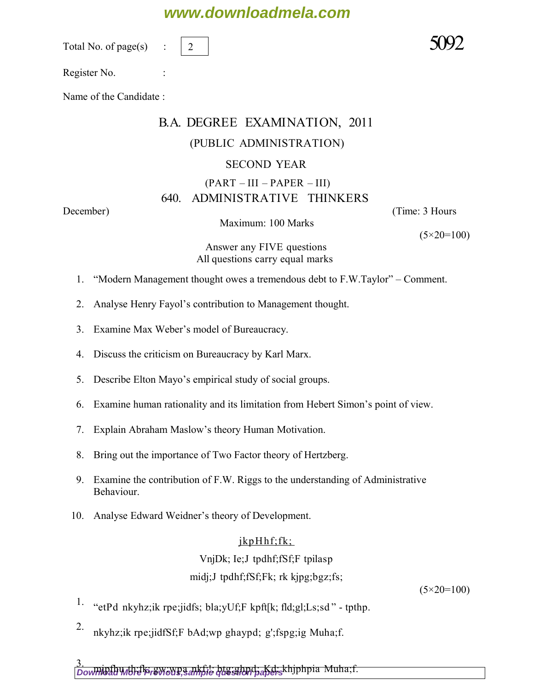### **www.downloadmela.com**

Total No. of page $(s)$ 

2

Register No. :

Name of the Candidate :

## B.A. DEGREE EXAMINATION, 2011 (PUBLIC ADMINISTRATION) SECOND YEAR  $(PART - III - PAPER - III)$ 640. ADMINISTRATIVE THINKERS

Maximum: 100 Marks

*December*) (*Time: 3 Hours*

*(5×20=100)*

*Answer any FIVE questions All questions carry equal marks* 

- 1. "Modern Management thought owes a tremendous debt to F.W.Taylor" Comment.
- 2. Analyse Henry Fayol's contribution to Management thought.
- 3. Examine Max Weber's model of Bureaucracy.
- 4. Discuss the criticism on Bureaucracy by Karl Marx.
- 5. Describe Elton Mayo's empirical study of social groups.
- 6. Examine human rationality and its limitation from Hebert Simon's point of view.
- 7. Explain Abraham Maslow's theory Human Motivation.
- 8. Bring out the importance of Two Factor theory of Hertzberg.
- 9. Examine the contribution of F.W. Riggs to the understanding of Administrative Behaviour.
- 10. Analyse Edward Weidner's theory of Development.

#### $jkpH$ hf;fk; VnjDk; Ie;J tpdhf;fSf;F tpilasp midj;J tpdhf;fSf;Fk; rk kjpg;bgz;fs;

 *(5×20=100)*

- 1. "etPd nkyhz;ik rpe;jidfs; bla;yUf;F kpft[k; fld;gl;Ls;sd " tpthp.
- 2. nkyhz; ik rpe; jidf $Sf$ ; F bAd; wp ghaypd; g'; fspg; ig Muha; f.

3.<br>*Downioad More Prewio*wp<del>, ankfil: btg;ghpd; Kd; k</del>hjphpia Muha;f.